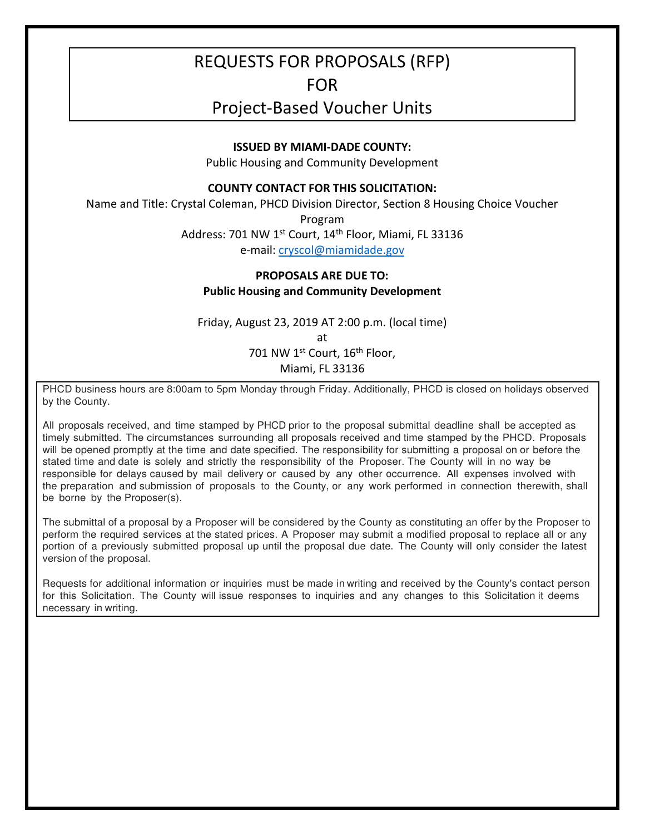# REQUESTS FOR PROPOSALS (RFP)

## FOR

# Project-Based Voucher Units

#### **ISSUED BY MIAMI-DADE COUNTY:**

Public Housing and Community Development

#### **COUNTY CONTACT FOR THIS SOLICITATION:**

Name and Title: Crystal Coleman, PHCD Division Director, Section 8 Housing Choice Voucher

Program

Address: 701 NW 1<sup>st</sup> Court, 14<sup>th</sup> Floor, Miami, FL 33136

e-mail: cryscol@miamidade.gov

### **PROPOSALS ARE DUE TO: Public Housing and Community Development**

Friday, August 23, 2019 AT 2:00 p.m. (local time) at 701 NW 1st Court, 16<sup>th</sup> Floor, Miami, FL 33136

PHCD business hours are 8:00am to 5pm Monday through Friday. Additionally, PHCD is closed on holidays observed by the County.

All proposals received, and time stamped by PHCD prior to the proposal submittal deadline shall be accepted as timely submitted. The circumstances surrounding all proposals received and time stamped by the PHCD. Proposals will be opened promptly at the time and date specified. The responsibility for submitting a proposal on or before the stated time and date is solely and strictly the responsibility of the Proposer. The County will in no way be responsible for delays caused by mail delivery or caused by any other occurrence. All expenses involved with the preparation and submission of proposals to the County, or any work performed in connection therewith, shall be borne by the Proposer(s).

The submittal of a proposal by a Proposer will be considered by the County as constituting an offer by the Proposer to perform the required services at the stated prices. A Proposer may submit a modified proposal to replace all or any portion of a previously submitted proposal up until the proposal due date. The County will only consider the latest version of the proposal.

Requests for additional information or inquiries must be made in writing and received by the County's contact person for this Solicitation. The County will issue responses to inquiries and any changes to this Solicitation it deems necessary in writing.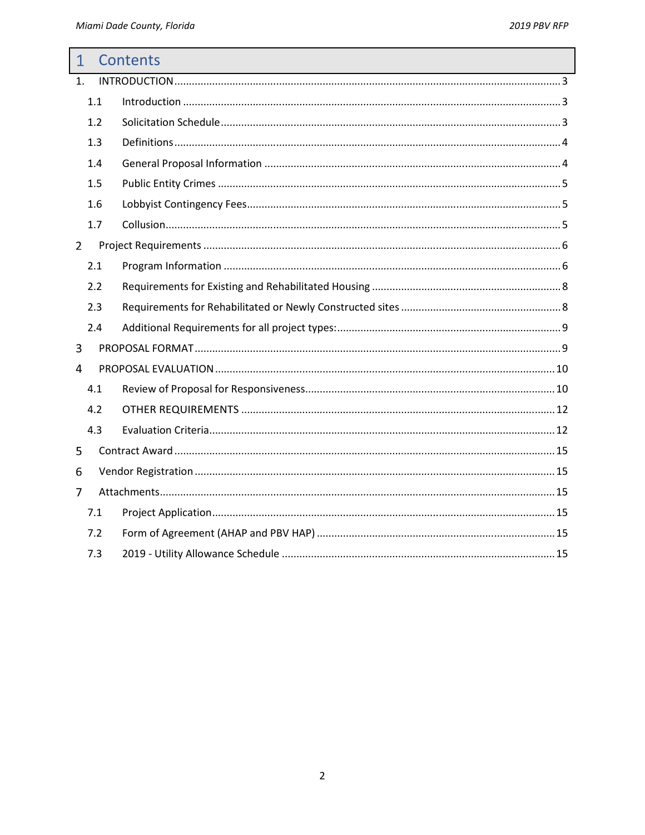| $\mathbf{1}$   |     | <b>Contents</b> |
|----------------|-----|-----------------|
| 1.             |     |                 |
|                | 1.1 |                 |
|                | 1.2 |                 |
|                | 1.3 |                 |
|                | 1.4 |                 |
|                | 1.5 |                 |
|                | 1.6 |                 |
|                | 1.7 |                 |
| $\overline{2}$ |     |                 |
|                | 2.1 |                 |
|                | 2.2 |                 |
|                | 2.3 |                 |
|                | 2.4 |                 |
| 3              |     |                 |
| 4              |     |                 |
|                | 4.1 |                 |
|                | 4.2 |                 |
|                | 4.3 |                 |
| 5              |     |                 |
| 6              |     |                 |
| 7              |     |                 |
|                | 7.1 |                 |
|                | 7.2 |                 |
|                | 7.3 |                 |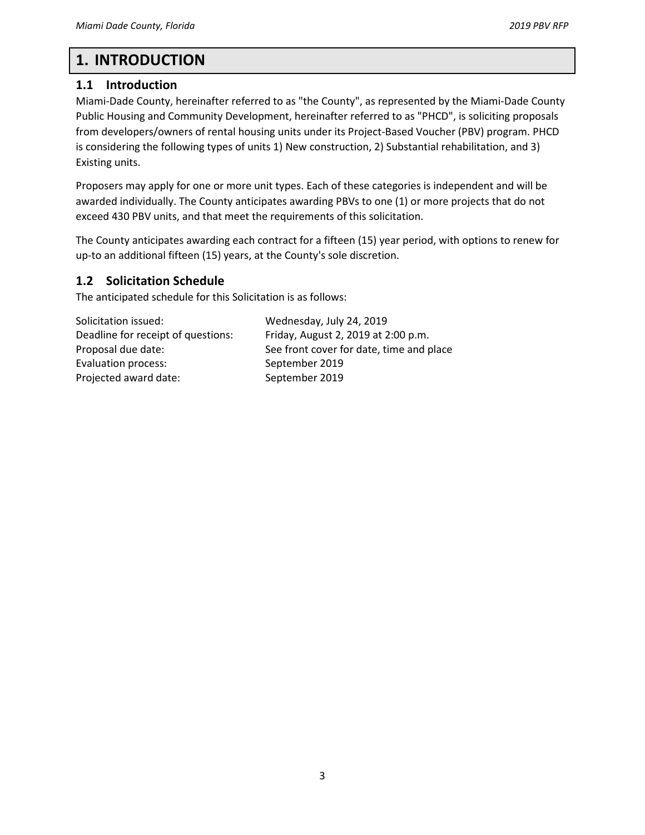## **1. INTRODUCTION**

## **1.1 Introduction**

Miami-Dade County, hereinafter referred to as "the County", as represented by the Miami-Dade County Public Housing and Community Development, hereinafter referred to as "PHCD", is soliciting proposals from developers/owners of rental housing units under its Project-Based Voucher (PBV) program. PHCD is considering the following types of units 1) New construction, 2) Substantial rehabilitation, and 3) Existing units.

Proposers may apply for one or more unit types. Each of these categories is independent and will be awarded individually. The County anticipates awarding PBVs to one (1) or more projects that do not exceed 430 PBV units, and that meet the requirements of this solicitation.

The County anticipates awarding each contract for a fifteen (15) year period, with options to renew for up-to an additional fifteen (15) years, at the County's sole discretion.

## **1.2 Solicitation Schedule**

The anticipated schedule for this Solicitation is as follows:

Solicitation issued: Wednesday, July 24, 2019 Deadline for receipt of questions: Friday, August 2, 2019 at 2:00 p.m. Evaluation process: September 2019 Projected award date: September 2019

Proposal due date: See front cover for date, time and place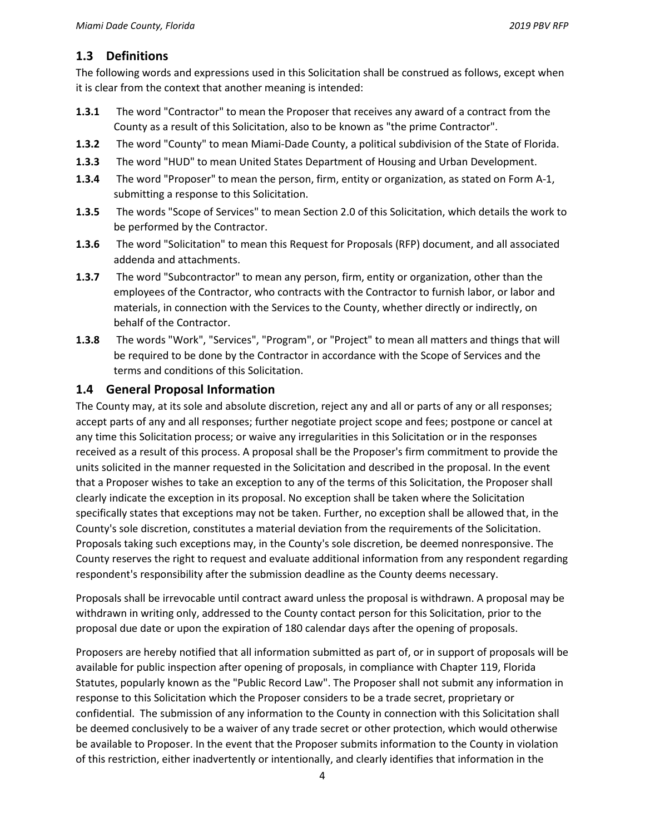### **1.3 Definitions**

The following words and expressions used in this Solicitation shall be construed as follows, except when it is clear from the context that another meaning is intended:

- **1.3.1** The word "Contractor" to mean the Proposer that receives any award of a contract from the County as a result of this Solicitation, also to be known as "the prime Contractor".
- **1.3.2** The word "County" to mean Miami-Dade County, a political subdivision of the State of Florida.
- **1.3.3** The word "HUD" to mean United States Department of Housing and Urban Development.
- **1.3.4** The word "Proposer" to mean the person, firm, entity or organization, as stated on Form A-1, submitting a response to this Solicitation.
- **1.3.5** The words "Scope of Services" to mean Section 2.0 of this Solicitation, which details the work to be performed by the Contractor.
- **1.3.6** The word "Solicitation" to mean this Request for Proposals (RFP) document, and all associated addenda and attachments.
- **1.3.7** The word "Subcontractor" to mean any person, firm, entity or organization, other than the employees of the Contractor, who contracts with the Contractor to furnish labor, or labor and materials, in connection with the Services to the County, whether directly or indirectly, on behalf of the Contractor.
- **1.3.8** The words "Work", "Services", "Program", or "Project" to mean all matters and things that will be required to be done by the Contractor in accordance with the Scope of Services and the terms and conditions of this Solicitation.

#### **1.4 General Proposal Information**

The County may, at its sole and absolute discretion, reject any and all or parts of any or all responses; accept parts of any and all responses; further negotiate project scope and fees; postpone or cancel at any time this Solicitation process; or waive any irregularities in this Solicitation or in the responses received as a result of this process. A proposal shall be the Proposer's firm commitment to provide the units solicited in the manner requested in the Solicitation and described in the proposal. In the event that a Proposer wishes to take an exception to any of the terms of this Solicitation, the Proposer shall clearly indicate the exception in its proposal. No exception shall be taken where the Solicitation specifically states that exceptions may not be taken. Further, no exception shall be allowed that, in the County's sole discretion, constitutes a material deviation from the requirements of the Solicitation. Proposals taking such exceptions may, in the County's sole discretion, be deemed nonresponsive. The County reserves the right to request and evaluate additional information from any respondent regarding respondent's responsibility after the submission deadline as the County deems necessary.

Proposals shall be irrevocable until contract award unless the proposal is withdrawn. A proposal may be withdrawn in writing only, addressed to the County contact person for this Solicitation, prior to the proposal due date or upon the expiration of 180 calendar days after the opening of proposals.

Proposers are hereby notified that all information submitted as part of, or in support of proposals will be available for public inspection after opening of proposals, in compliance with Chapter 119, Florida Statutes, popularly known as the "Public Record Law". The Proposer shall not submit any information in response to this Solicitation which the Proposer considers to be a trade secret, proprietary or confidential. The submission of any information to the County in connection with this Solicitation shall be deemed conclusively to be a waiver of any trade secret or other protection, which would otherwise be available to Proposer. In the event that the Proposer submits information to the County in violation of this restriction, either inadvertently or intentionally, and clearly identifies that information in the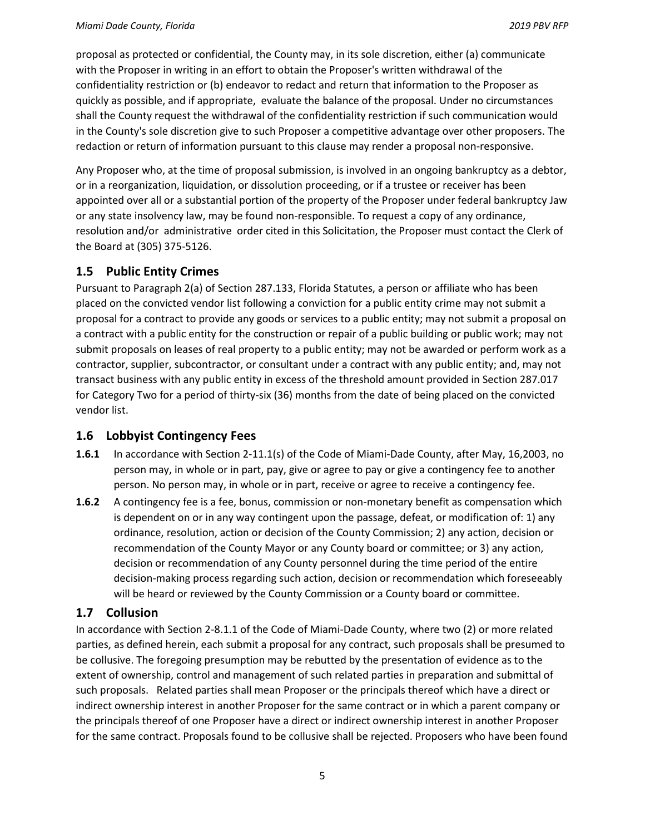proposal as protected or confidential, the County may, in its sole discretion, either (a) communicate with the Proposer in writing in an effort to obtain the Proposer's written withdrawal of the confidentiality restriction or (b) endeavor to redact and return that information to the Proposer as quickly as possible, and if appropriate, evaluate the balance of the proposal. Under no circumstances shall the County request the withdrawal of the confidentiality restriction if such communication would in the County's sole discretion give to such Proposer a competitive advantage over other proposers. The redaction or return of information pursuant to this clause may render a proposal non-responsive.

Any Proposer who, at the time of proposal submission, is involved in an ongoing bankruptcy as a debtor, or in a reorganization, liquidation, or dissolution proceeding, or if a trustee or receiver has been appointed over all or a substantial portion of the property of the Proposer under federal bankruptcy Jaw or any state insolvency law, may be found non-responsible. To request a copy of any ordinance, resolution and/or administrative order cited in this Solicitation, the Proposer must contact the Clerk of the Board at (305) 375-5126.

### **1.5 Public Entity Crimes**

Pursuant to Paragraph 2(a) of Section 287.133, Florida Statutes, a person or affiliate who has been placed on the convicted vendor list following a conviction for a public entity crime may not submit a proposal for a contract to provide any goods or services to a public entity; may not submit a proposal on a contract with a public entity for the construction or repair of a public building or public work; may not submit proposals on leases of real property to a public entity; may not be awarded or perform work as a contractor, supplier, subcontractor, or consultant under a contract with any public entity; and, may not transact business with any public entity in excess of the threshold amount provided in Section 287.017 for Category Two for a period of thirty-six (36) months from the date of being placed on the convicted vendor list.

### **1.6 Lobbyist Contingency Fees**

- **1.6.1** In accordance with Section 2-11.1(s) of the Code of Miami-Dade County, after May, 16,2003, no person may, in whole or in part, pay, give or agree to pay or give a contingency fee to another person. No person may, in whole or in part, receive or agree to receive a contingency fee.
- **1.6.2** A contingency fee is a fee, bonus, commission or non-monetary benefit as compensation which is dependent on or in any way contingent upon the passage, defeat, or modification of: 1) any ordinance, resolution, action or decision of the County Commission; 2) any action, decision or recommendation of the County Mayor or any County board or committee; or 3) any action, decision or recommendation of any County personnel during the time period of the entire decision-making process regarding such action, decision or recommendation which foreseeably will be heard or reviewed by the County Commission or a County board or committee.

### **1.7 Collusion**

In accordance with Section 2-8.1.1 of the Code of Miami-Dade County, where two (2) or more related parties, as defined herein, each submit a proposal for any contract, such proposals shall be presumed to be collusive. The foregoing presumption may be rebutted by the presentation of evidence as to the extent of ownership, control and management of such related parties in preparation and submittal of such proposals. Related parties shall mean Proposer or the principals thereof which have a direct or indirect ownership interest in another Proposer for the same contract or in which a parent company or the principals thereof of one Proposer have a direct or indirect ownership interest in another Proposer for the same contract. Proposals found to be collusive shall be rejected. Proposers who have been found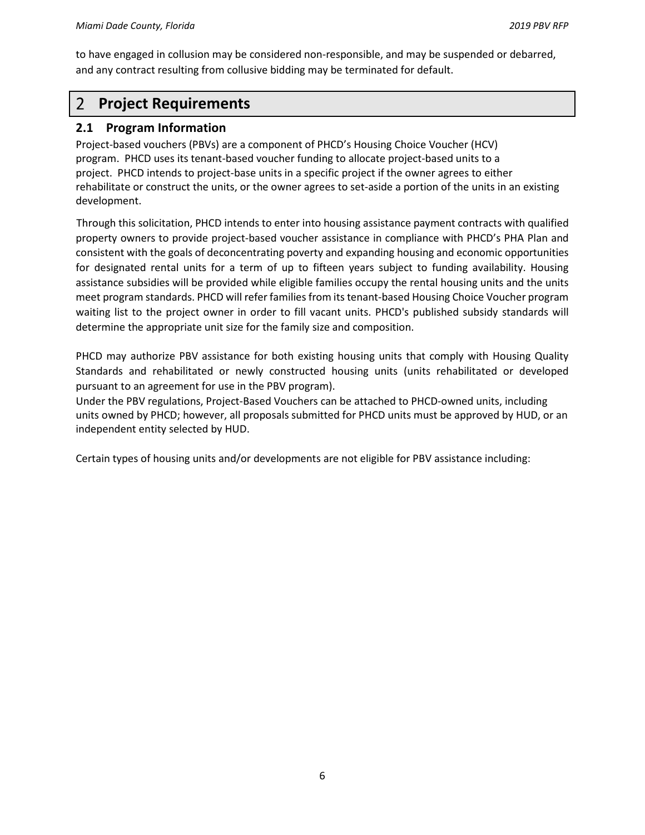to have engaged in collusion may be considered non-responsible, and may be suspended or debarred, and any contract resulting from collusive bidding may be terminated for default.

#### $\overline{2}$ **Project Requirements**

#### **2.1 Program Information**

Project-based vouchers (PBVs) are a component of PHCD's Housing Choice Voucher (HCV) program. PHCD uses its tenant-based voucher funding to allocate project-based units to a project. PHCD intends to project-base units in a specific project if the owner agrees to either rehabilitate or construct the units, or the owner agrees to set-aside a portion of the units in an existing development.

Through this solicitation, PHCD intends to enter into housing assistance payment contracts with qualified property owners to provide project-based voucher assistance in compliance with PHCD's PHA Plan and consistent with the goals of deconcentrating poverty and expanding housing and economic opportunities for designated rental units for a term of up to fifteen years subject to funding availability. Housing assistance subsidies will be provided while eligible families occupy the rental housing units and the units meet program standards. PHCD will refer families from its tenant-based Housing Choice Voucher program waiting list to the project owner in order to fill vacant units. PHCD's published subsidy standards will determine the appropriate unit size for the family size and composition.

PHCD may authorize PBV assistance for both existing housing units that comply with Housing Quality Standards and rehabilitated or newly constructed housing units (units rehabilitated or developed pursuant to an agreement for use in the PBV program).

Under the PBV regulations, Project-Based Vouchers can be attached to PHCD-owned units, including units owned by PHCD; however, all proposals submitted for PHCD units must be approved by HUD, or an independent entity selected by HUD.

Certain types of housing units and/or developments are not eligible for PBV assistance including: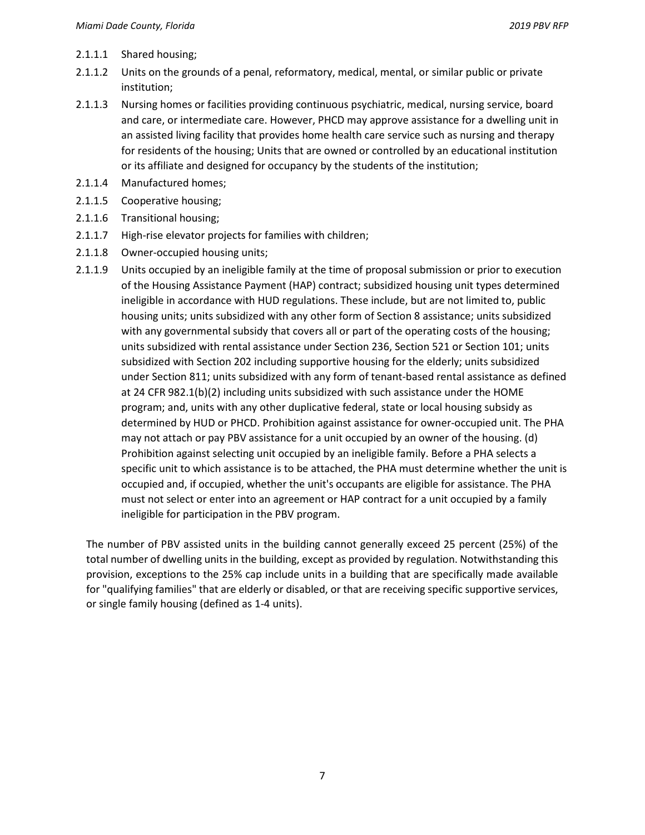- 2.1.1.1 Shared housing;
- 2.1.1.2 Units on the grounds of a penal, reformatory, medical, mental, or similar public or private institution;
- 2.1.1.3 Nursing homes or facilities providing continuous psychiatric, medical, nursing service, board and care, or intermediate care. However, PHCD may approve assistance for a dwelling unit in an assisted living facility that provides home health care service such as nursing and therapy for residents of the housing; Units that are owned or controlled by an educational institution or its affiliate and designed for occupancy by the students of the institution;
- 2.1.1.4 Manufactured homes;
- 2.1.1.5 Cooperative housing;
- 2.1.1.6 Transitional housing;
- 2.1.1.7 High-rise elevator projects for families with children;
- 2.1.1.8 Owner-occupied housing units;
- 2.1.1.9 Units occupied by an ineligible family at the time of proposal submission or prior to execution of the Housing Assistance Payment (HAP) contract; subsidized housing unit types determined ineligible in accordance with HUD regulations. These include, but are not limited to, public housing units; units subsidized with any other form of Section 8 assistance; units subsidized with any governmental subsidy that covers all or part of the operating costs of the housing; units subsidized with rental assistance under Section 236, Section 521 or Section 101; units subsidized with Section 202 including supportive housing for the elderly; units subsidized under Section 811; units subsidized with any form of tenant-based rental assistance as defined at 24 CFR 982.1(b)(2) including units subsidized with such assistance under the HOME program; and, units with any other duplicative federal, state or local housing subsidy as determined by HUD or PHCD. Prohibition against assistance for owner-occupied unit. The PHA may not attach or pay PBV assistance for a unit occupied by an owner of the housing. (d) Prohibition against selecting unit occupied by an ineligible family. Before a PHA selects a specific unit to which assistance is to be attached, the PHA must determine whether the unit is occupied and, if occupied, whether the unit's occupants are eligible for assistance. The PHA must not select or enter into an agreement or HAP contract for a unit occupied by a family ineligible for participation in the PBV program.

The number of PBV assisted units in the building cannot generally exceed 25 percent (25%) of the total number of dwelling units in the building, except as provided by regulation. Notwithstanding this provision, exceptions to the 25% cap include units in a building that are specifically made available for "qualifying families" that are elderly or disabled, or that are receiving specific supportive services, or single family housing (defined as 1-4 units).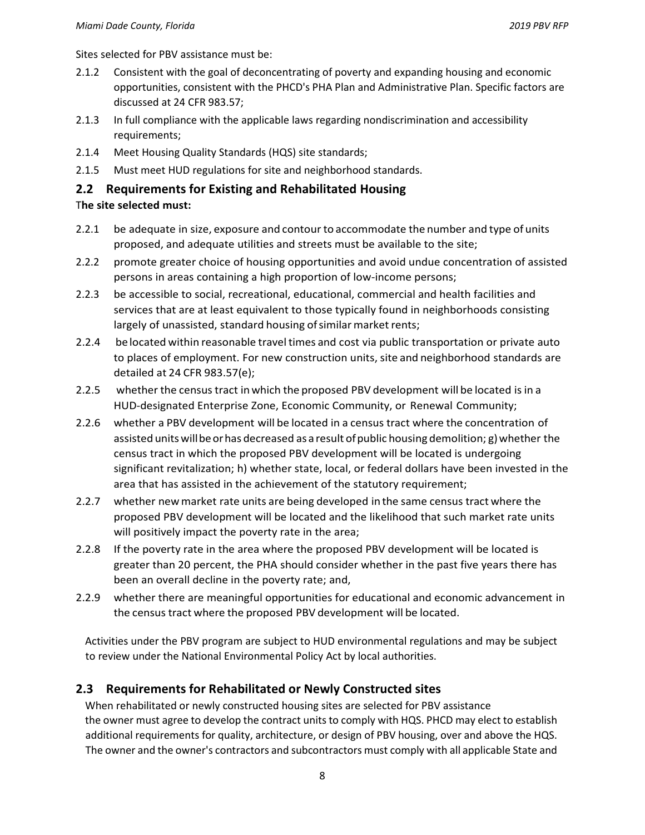Sites selected for PBV assistance must be:

- 2.1.2 Consistent with the goal of deconcentrating of poverty and expanding housing and economic opportunities, consistent with the PHCD's PHA Plan and Administrative Plan. Specific factors are discussed at 24 CFR 983.57;
- 2.1.3 In full compliance with the applicable laws regarding nondiscrimination and accessibility requirements;
- 2.1.4 Meet Housing Quality Standards (HQS) site standards;
- 2.1.5 Must meet HUD regulations for site and neighborhood standards.

#### **2.2 Requirements for Existing and Rehabilitated Housing**

#### T**he site selected must:**

- 2.2.1 be adequate in size, exposure and contour to accommodate the number and type of units proposed, and adequate utilities and streets must be available to the site;
- 2.2.2 promote greater choice of housing opportunities and avoid undue concentration of assisted persons in areas containing a high proportion of low-income persons;
- 2.2.3 be accessible to social, recreational, educational, commercial and health facilities and services that are at least equivalent to those typically found in neighborhoods consisting largely of unassisted, standard housing of similar market rents;
- 2.2.4 be located within reasonable travel times and cost via public transportation or private auto to places of employment. For new construction units, site and neighborhood standards are detailed at 24 CFR 983.57(e);
- 2.2.5 whether the census tract in which the proposed PBV development will be located is in a HUD-designated Enterprise Zone, Economic Community, or Renewal Community;
- 2.2.6 whether a PBV development will be located in a census tract where the concentration of assisted units will be or has decreased as a result of public housing demolition; g) whether the census tract in which the proposed PBV development will be located is undergoing significant revitalization; h) whether state, local, or federal dollars have been invested in the area that has assisted in the achievement of the statutory requirement;
- 2.2.7 whether new market rate units are being developed in the same census tract where the proposed PBV development will be located and the likelihood that such market rate units will positively impact the poverty rate in the area;
- 2.2.8 If the poverty rate in the area where the proposed PBV development will be located is greater than 20 percent, the PHA should consider whether in the past five years there has been an overall decline in the poverty rate; and,
- 2.2.9 whether there are meaningful opportunities for educational and economic advancement in the census tract where the proposed PBV development will be located.

Activities under the PBV program are subject to HUD environmental regulations and may be subject to review under the National Environmental Policy Act by local authorities.

### **2.3 Requirements for Rehabilitated or Newly Constructed sites**

When rehabilitated or newly constructed housing sites are selected for PBV assistance the owner must agree to develop the contract units to comply with HQS. PHCD may elect to establish additional requirements for quality, architecture, or design of PBV housing, over and above the HQS. The owner and the owner's contractors and subcontractors must comply with all applicable State and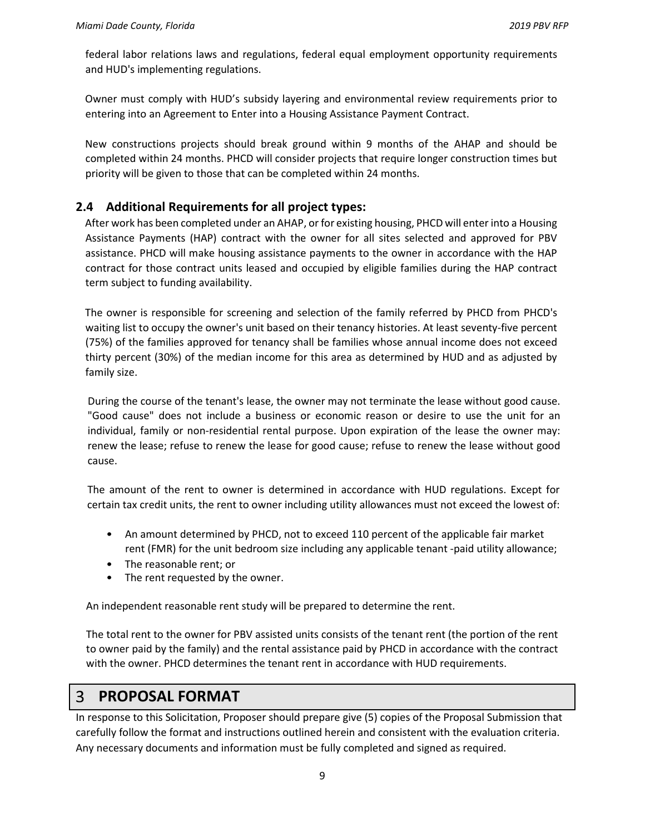federal labor relations laws and regulations, federal equal employment opportunity requirements and HUD's implementing regulations.

Owner must comply with HUD's subsidy layering and environmental review requirements prior to entering into an Agreement to Enter into a Housing Assistance Payment Contract.

New constructions projects should break ground within 9 months of the AHAP and should be completed within 24 months. PHCD will consider projects that require longer construction times but priority will be given to those that can be completed within 24 months.

## **2.4 Additional Requirements for all project types:**

After work has been completed under an AHAP, or for existing housing, PHCD will enter into a Housing Assistance Payments (HAP) contract with the owner for all sites selected and approved for PBV assistance. PHCD will make housing assistance payments to the owner in accordance with the HAP contract for those contract units leased and occupied by eligible families during the HAP contract term subject to funding availability.

The owner is responsible for screening and selection of the family referred by PHCD from PHCD's waiting list to occupy the owner's unit based on their tenancy histories. At least seventy-five percent (75%) of the families approved for tenancy shall be families whose annual income does not exceed thirty percent (30%) of the median income for this area as determined by HUD and as adjusted by family size.

During the course of the tenant's lease, the owner may not terminate the lease without good cause. "Good cause" does not include a business or economic reason or desire to use the unit for an individual, family or non-residential rental purpose. Upon expiration of the lease the owner may: renew the lease; refuse to renew the lease for good cause; refuse to renew the lease without good cause.

The amount of the rent to owner is determined in accordance with HUD regulations. Except for certain tax credit units, the rent to owner including utility allowances must not exceed the lowest of:

- An amount determined by PHCD, not to exceed 110 percent of the applicable fair market rent (FMR) for the unit bedroom size including any applicable tenant -paid utility allowance;
- The reasonable rent; or
- The rent requested by the owner.

An independent reasonable rent study will be prepared to determine the rent.

The total rent to the owner for PBV assisted units consists of the tenant rent (the portion of the rent to owner paid by the family) and the rental assistance paid by PHCD in accordance with the contract with the owner. PHCD determines the tenant rent in accordance with HUD requirements.

#### $\overline{3}$ **PROPOSAL FORMAT**

In response to this Solicitation, Proposer should prepare give (5) copies of the Proposal Submission that carefully follow the format and instructions outlined herein and consistent with the evaluation criteria. Any necessary documents and information must be fully completed and signed as required.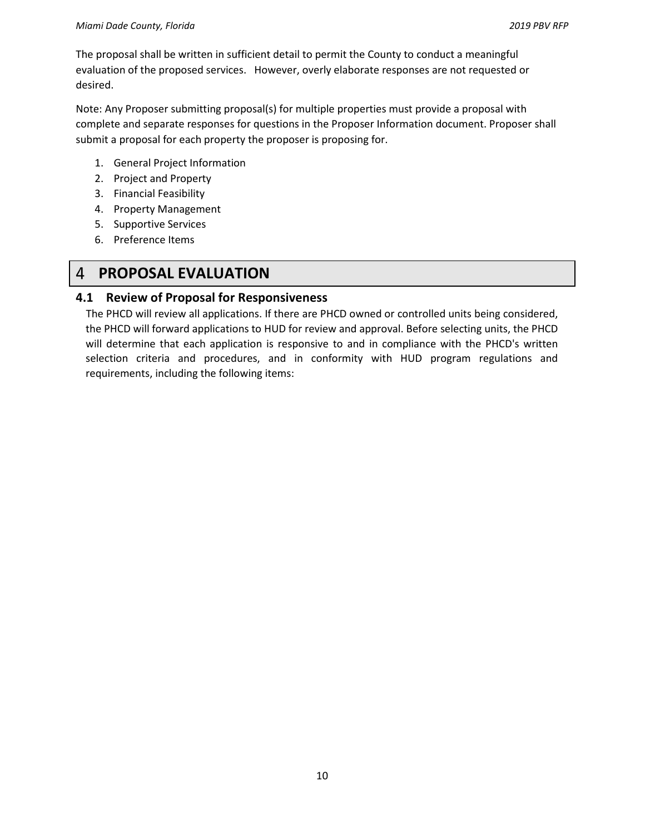The proposal shall be written in sufficient detail to permit the County to conduct a meaningful evaluation of the proposed services. However, overly elaborate responses are not requested or desired.

Note: Any Proposer submitting proposal(s) for multiple properties must provide a proposal with complete and separate responses for questions in the Proposer Information document. Proposer shall submit a proposal for each property the proposer is proposing for.

- 1. General Project Information
- 2. Project and Property
- 3. Financial Feasibility
- 4. Property Management
- 5. Supportive Services
- 6. Preference Items

#### $\overline{4}$ **PROPOSAL EVALUATION**

#### **4.1 Review of Proposal for Responsiveness**

The PHCD will review all applications. If there are PHCD owned or controlled units being considered, the PHCD will forward applications to HUD for review and approval. Before selecting units, the PHCD will determine that each application is responsive to and in compliance with the PHCD's written selection criteria and procedures, and in conformity with HUD program regulations and requirements, including the following items: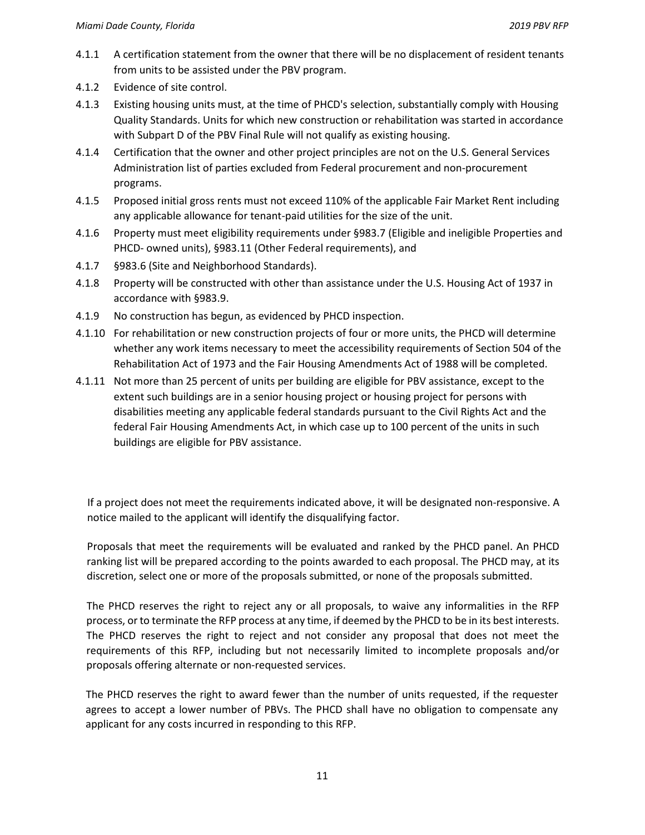- 4.1.1 A certification statement from the owner that there will be no displacement of resident tenants from units to be assisted under the PBV program.
- 4.1.2 Evidence of site control.
- 4.1.3 Existing housing units must, at the time of PHCD's selection, substantially comply with Housing Quality Standards. Units for which new construction or rehabilitation was started in accordance with Subpart D of the PBV Final Rule will not qualify as existing housing.
- 4.1.4 Certification that the owner and other project principles are not on the U.S. General Services Administration list of parties excluded from Federal procurement and non-procurement programs.
- 4.1.5 Proposed initial gross rents must not exceed 110% of the applicable Fair Market Rent including any applicable allowance for tenant-paid utilities for the size of the unit.
- 4.1.6 Property must meet eligibility requirements under §983.7 (Eligible and ineligible Properties and PHCD- owned units), §983.11 (Other Federal requirements), and
- 4.1.7 §983.6 (Site and Neighborhood Standards).
- 4.1.8 Property will be constructed with other than assistance under the U.S. Housing Act of 1937 in accordance with §983.9.
- 4.1.9 No construction has begun, as evidenced by PHCD inspection.
- 4.1.10 For rehabilitation or new construction projects of four or more units, the PHCD will determine whether any work items necessary to meet the accessibility requirements of Section 504 of the Rehabilitation Act of 1973 and the Fair Housing Amendments Act of 1988 will be completed.
- 4.1.11 Not more than 25 percent of units per building are eligible for PBV assistance, except to the extent such buildings are in a senior housing project or housing project for persons with disabilities meeting any applicable federal standards pursuant to the Civil Rights Act and the federal Fair Housing Amendments Act, in which case up to 100 percent of the units in such buildings are eligible for PBV assistance.

If a project does not meet the requirements indicated above, it will be designated non-responsive. A notice mailed to the applicant will identify the disqualifying factor.

Proposals that meet the requirements will be evaluated and ranked by the PHCD panel. An PHCD ranking list will be prepared according to the points awarded to each proposal. The PHCD may, at its discretion, select one or more of the proposals submitted, or none of the proposals submitted.

The PHCD reserves the right to reject any or all proposals, to waive any informalities in the RFP process, or to terminate the RFP process at any time, if deemed by the PHCD to be in its best interests. The PHCD reserves the right to reject and not consider any proposal that does not meet the requirements of this RFP, including but not necessarily limited to incomplete proposals and/or proposals offering alternate or non-requested services.

The PHCD reserves the right to award fewer than the number of units requested, if the requester agrees to accept a lower number of PBVs. The PHCD shall have no obligation to compensate any applicant for any costs incurred in responding to this RFP.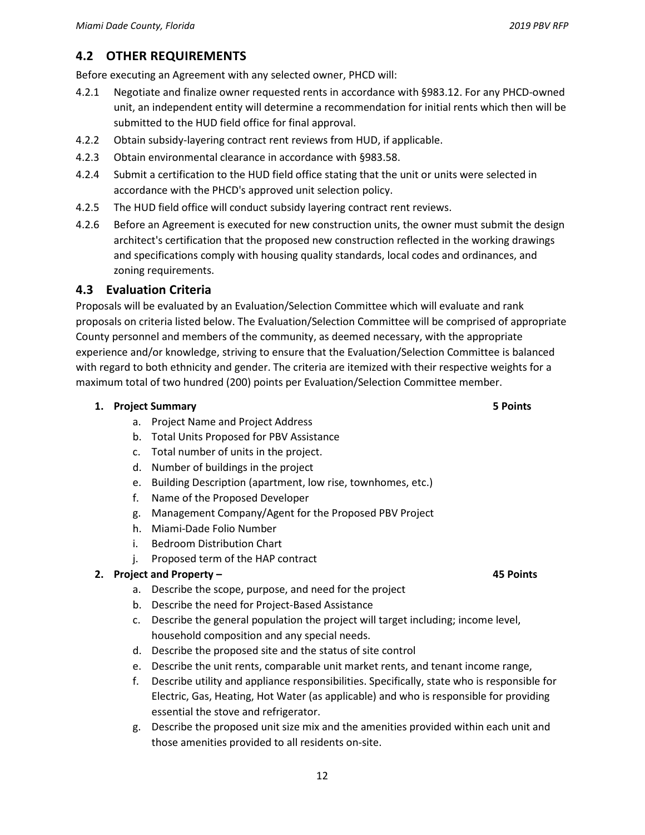## **4.2 OTHER REQUIREMENTS**

Before executing an Agreement with any selected owner, PHCD will:

- 4.2.1 Negotiate and finalize owner requested rents in accordance with §983.12. For any PHCD-owned unit, an independent entity will determine a recommendation for initial rents which then will be submitted to the HUD field office for final approval.
- 4.2.2 Obtain subsidy-layering contract rent reviews from HUD, if applicable.
- 4.2.3 Obtain environmental clearance in accordance with §983.58.
- 4.2.4 Submit a certification to the HUD field office stating that the unit or units were selected in accordance with the PHCD's approved unit selection policy.
- 4.2.5 The HUD field office will conduct subsidy layering contract rent reviews.
- 4.2.6 Before an Agreement is executed for new construction units, the owner must submit the design architect's certification that the proposed new construction reflected in the working drawings and specifications comply with housing quality standards, local codes and ordinances, and zoning requirements.

#### **4.3 Evaluation Criteria**

Proposals will be evaluated by an Evaluation/Selection Committee which will evaluate and rank proposals on criteria listed below. The Evaluation/Selection Committee will be comprised of appropriate County personnel and members of the community, as deemed necessary, with the appropriate experience and/or knowledge, striving to ensure that the Evaluation/Selection Committee is balanced with regard to both ethnicity and gender. The criteria are itemized with their respective weights for a maximum total of two hundred (200) points per Evaluation/Selection Committee member.

#### **1. Project Summary 5 Points**

- a. Project Name and Project Address
- b. Total Units Proposed for PBV Assistance
- c. Total number of units in the project.
- d. Number of buildings in the project
- e. Building Description (apartment, low rise, townhomes, etc.)
- f. Name of the Proposed Developer
- g. Management Company/Agent for the Proposed PBV Project
- h. Miami-Dade Folio Number
- i. Bedroom Distribution Chart
- j. Proposed term of the HAP contract

#### **2. Project and Property – 45 Points**

- a. Describe the scope, purpose, and need for the project
- b. Describe the need for Project-Based Assistance
- c. Describe the general population the project will target including; income level, household composition and any special needs.
- d. Describe the proposed site and the status of site control
- e. Describe the unit rents, comparable unit market rents, and tenant income range,
- f. Describe utility and appliance responsibilities. Specifically, state who is responsible for Electric, Gas, Heating, Hot Water (as applicable) and who is responsible for providing essential the stove and refrigerator.
- g. Describe the proposed unit size mix and the amenities provided within each unit and those amenities provided to all residents on-site.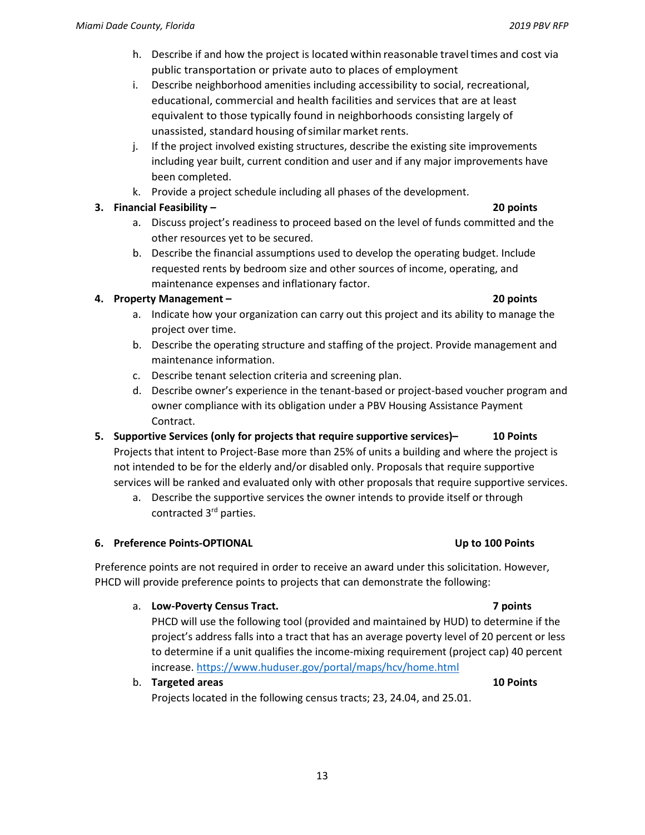- h. Describe if and how the project is located within reasonable travel times and cost via public transportation or private auto to places of employment
- i. Describe neighborhood amenities including accessibility to social, recreational, educational, commercial and health facilities and services that are at least equivalent to those typically found in neighborhoods consisting largely of unassisted, standard housing of similar market rents.
- j. If the project involved existing structures, describe the existing site improvements including year built, current condition and user and if any major improvements have been completed.
- k. Provide a project schedule including all phases of the development.

#### **3. Financial Feasibility – 20 points**

- a. Discuss project's readiness to proceed based on the level of funds committed and the other resources yet to be secured.
- b. Describe the financial assumptions used to develop the operating budget. Include requested rents by bedroom size and other sources of income, operating, and maintenance expenses and inflationary factor.

#### **4. Property Management – 20 points**

- a. Indicate how your organization can carry out this project and its ability to manage the project over time.
- b. Describe the operating structure and staffing of the project. Provide management and maintenance information.
- c. Describe tenant selection criteria and screening plan.
- d. Describe owner's experience in the tenant-based or project-based voucher program and owner compliance with its obligation under a PBV Housing Assistance Payment Contract.

**5. Supportive Services (only for projects that require supportive services)– 10 Points**  Projects that intent to Project-Base more than 25% of units a building and where the project is not intended to be for the elderly and/or disabled only. Proposals that require supportive services will be ranked and evaluated only with other proposals that require supportive services.

a. Describe the supportive services the owner intends to provide itself or through contracted 3rd parties.

#### **6.** Preference Points-OPTIONAL **1999 100 Points** Up to 100 Points

Preference points are not required in order to receive an award under this solicitation. However, PHCD will provide preference points to projects that can demonstrate the following:

#### a. **Low-Poverty Census Tract. 7 points**

PHCD will use the following tool (provided and maintained by HUD) to determine if the project's address falls into a tract that has an average poverty level of 20 percent or less to determine if a unit qualifies the income-mixing requirement (project cap) 40 percent increase. https://www.huduser.gov/portal/maps/hcv/home.html

b. **Targeted areas 10 Points** Projects located in the following census tracts; 23, 24.04, and 25.01.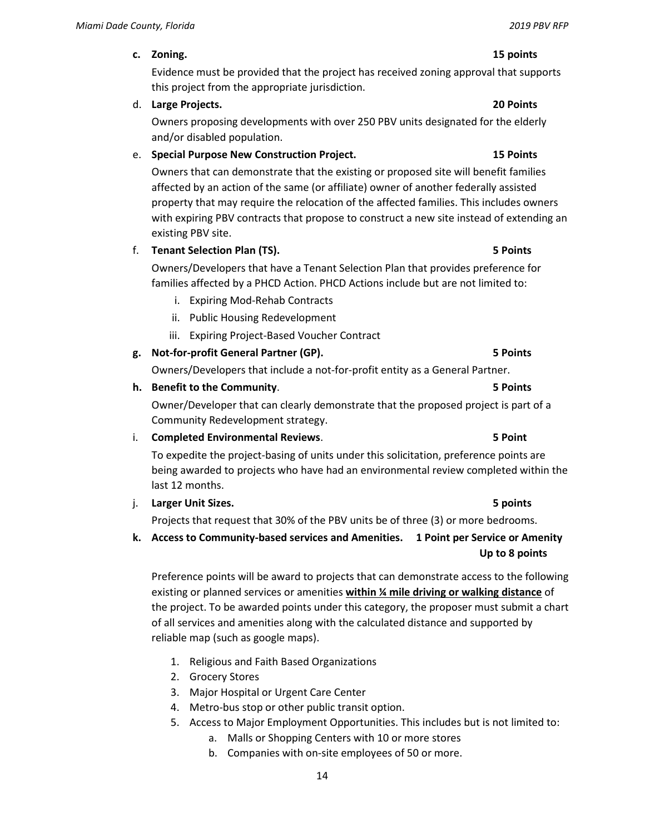#### **c. Zoning. 15 points**

Evidence must be provided that the project has received zoning approval that supports this project from the appropriate jurisdiction.

#### d. **Large Projects. 20 Points**

Owners proposing developments with over 250 PBV units designated for the elderly and/or disabled population.

### e. **Special Purpose New Construction Project. 15 Points**

Owners that can demonstrate that the existing or proposed site will benefit families affected by an action of the same (or affiliate) owner of another federally assisted property that may require the relocation of the affected families. This includes owners with expiring PBV contracts that propose to construct a new site instead of extending an existing PBV site.

#### f. **Tenant Selection Plan (TS). 5 Points**

Owners/Developers that have a Tenant Selection Plan that provides preference for families affected by a PHCD Action. PHCD Actions include but are not limited to:

- i. Expiring Mod-Rehab Contracts
- ii. Public Housing Redevelopment
- iii. Expiring Project-Based Voucher Contract

### **g. Not-for-profit General Partner (GP). 5 Points**

Owners/Developers that include a not-for-profit entity as a General Partner.

## **h. Benefit to the Community**. **5 Points**

Owner/Developer that can clearly demonstrate that the proposed project is part of a Community Redevelopment strategy.

### i. **Completed Environmental Reviews**. **5 Point**

To expedite the project-basing of units under this solicitation, preference points are being awarded to projects who have had an environmental review completed within the last 12 months.

#### j. **Larger Unit Sizes. 5 points**

Projects that request that 30% of the PBV units be of three (3) or more bedrooms.

**k. Access to Community-based services and Amenities. 1 Point per Service or Amenity Up to 8 points** 

Preference points will be award to projects that can demonstrate access to the following existing or planned services or amenities **within ¼ mile driving or walking distance** of the project. To be awarded points under this category, the proposer must submit a chart of all services and amenities along with the calculated distance and supported by reliable map (such as google maps).

- 1. Religious and Faith Based Organizations
- 2. Grocery Stores
- 3. Major Hospital or Urgent Care Center
- 4. Metro-bus stop or other public transit option.
- 5. Access to Major Employment Opportunities. This includes but is not limited to:
	- a. Malls or Shopping Centers with 10 or more stores
	- b. Companies with on-site employees of 50 or more.